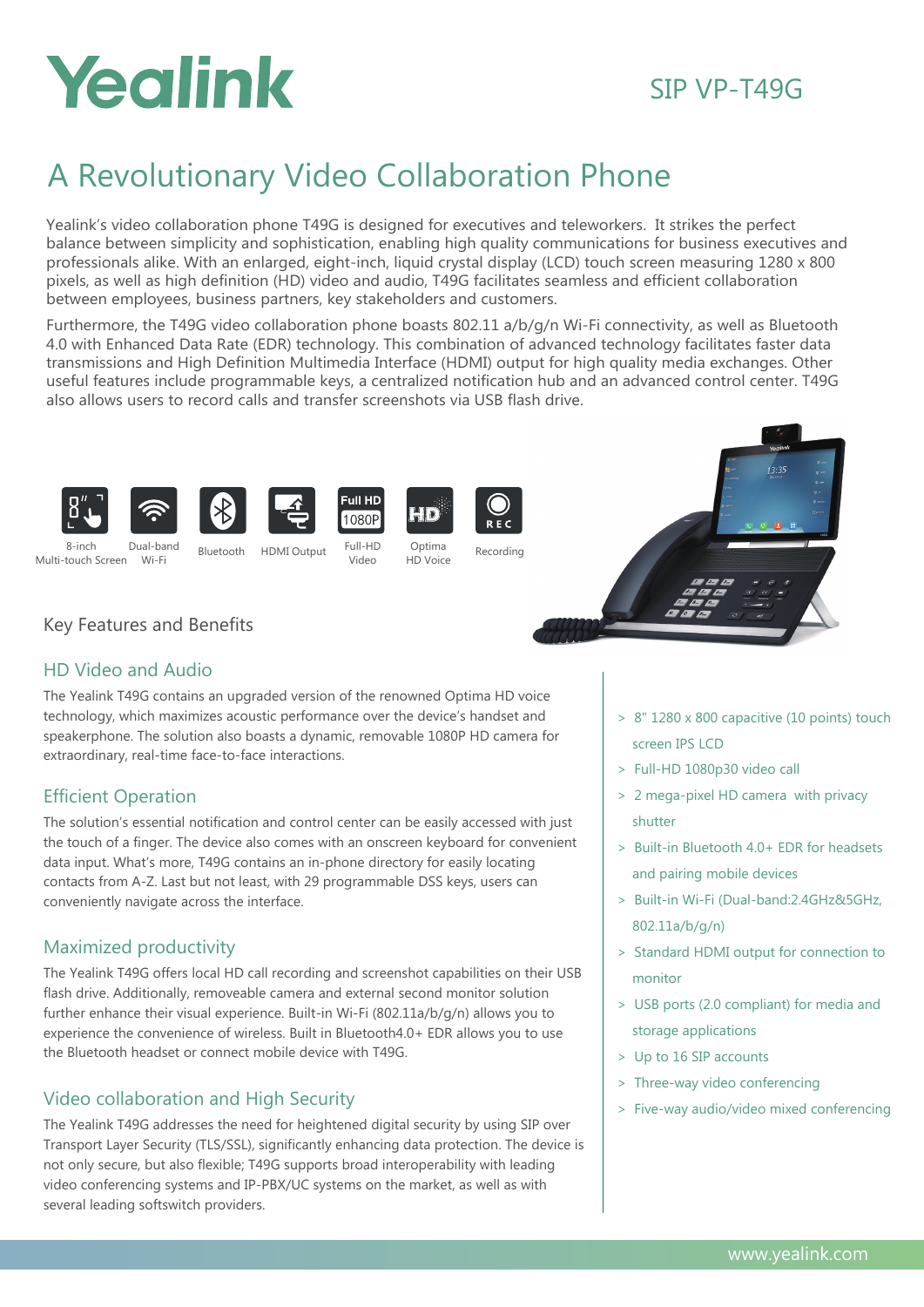# Yealink

## SIP VP-T49G

# A Revolutionary Video Collaboration Phone

Yealink's video collaboration phone T49G is designed for executives and teleworkers. It strikes the perfect balance between simplicity and sophistication, enabling high quality communications for business executives and professionals alike. With an enlarged, eight-inch, liquid crystal display (LCD) touch screen measuring 1280 x 800 pixels, as well as high definition (HD) video and audio, T49G facilitates seamless and efficient collaboration between employees, business partners, key stakeholders and customers.

Furthermore, the T49G video collaboration phone boasts 802.11 a/b/g/n Wi-Fi connectivity, as well as Bluetooth 4.0 with Enhanced Data Rate (EDR) technology. This combination of advanced technology facilitates faster data transmissions and High Definition Multimedia Interface (HDMI) output for high quality media exchanges. Other useful features include programmable keys, a centralized notification hub and an advanced control center. T49G also allows users to record calls and transfer screenshots via USB flash drive.















Wi-Fi 8-inch Multi-touch Screen

Dual-band Bluetooth HDMI Output

HD Voice Full-HD Video

Full HD

1080P





## Key Features and Benefits

### HD Video and Audio

The Yealink T49G contains an upgraded version of the renowned Optima HD voice technology, which maximizes acoustic performance over the device's handset and speakerphone. The solution also boasts a dynamic, removable 1080P HD camera for extraordinary, real-time face-to-face interactions.

## Efficient Operation

The solution's essential notification and control center can be easily accessed with just the touch of a finger. The device also comes with an onscreen keyboard for convenient data input. What's more, T49G contains an in-phone directory for easily locating contacts from A-Z. Last but not least, with 29 programmable DSS keys, users can conveniently navigate across the interface.

### Maximized productivity

The Yealink T49G offers local HD call recording and screenshot capabilities on their USB flash drive. Additionally, removeable camera and external second monitor solution further enhance their visual experience. Built-in Wi-Fi (802.11a/b/g/n) allows you to experience the convenience of wireless. Built in Bluetooth4.0+ EDR allows you to use the Bluetooth headset or connect mobile device with T49G.

## Video collaboration and High Security

The Yealink T49G addresses the need for heightened digital security by using SIP over Transport Layer Security (TLS/SSL), significantly enhancing data protection. The device is not only secure, but also flexible; T49G supports broad interoperability with leading video conferencing systems and IP-PBX/UC systems on the market, as well as with several leading softswitch providers.

- > 8" 1280 x 800 capacitive (10 points) touch screen IPS LCD
- > Full-HD 1080p30 video call
- > 2 mega-pixel HD camera with privacy shutter
- > Built-in Bluetooth 4.0+ EDR for headsets and pairing mobile devices
- > Built-in Wi-Fi (Dual-band:2.4GHz&5GHz, 802.11a/b/g/n)
- > Standard HDMI output for connection to monitor
- > USB ports (2.0 compliant) for media and storage applications
- > Up to 16 SIP accounts
- > Three-way video conferencing
- > Five-way audio/video mixed conferencing